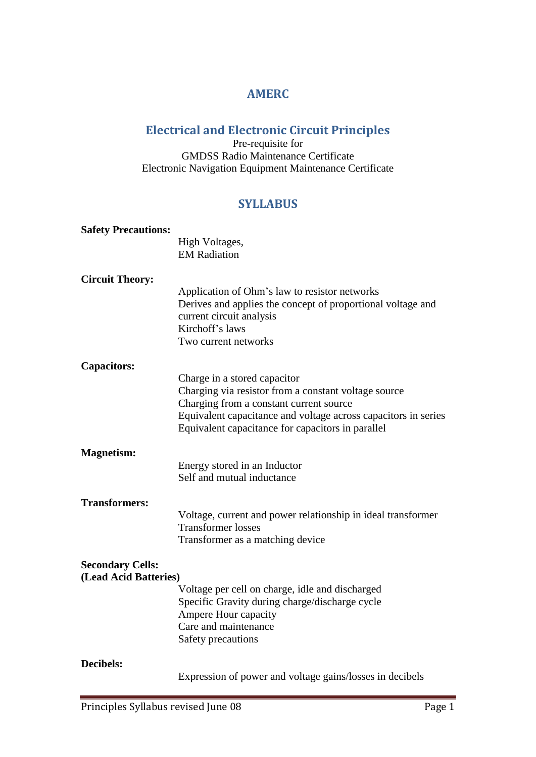## **AMERC**

## **Electrical and Electronic Circuit Principles**

Pre-requisite for GMDSS Radio Maintenance Certificate Electronic Navigation Equipment Maintenance Certificate

## **SYLLABUS**

| <b>Safety Precautions:</b> |                                                                                                                                                                                                                                                        |
|----------------------------|--------------------------------------------------------------------------------------------------------------------------------------------------------------------------------------------------------------------------------------------------------|
|                            | High Voltages,                                                                                                                                                                                                                                         |
|                            | <b>EM Radiation</b>                                                                                                                                                                                                                                    |
|                            |                                                                                                                                                                                                                                                        |
| <b>Circuit Theory:</b>     | Application of Ohm's law to resistor networks<br>Derives and applies the concept of proportional voltage and<br>current circuit analysis<br>Kirchoff's laws<br>Two current networks                                                                    |
| <b>Capacitors:</b>         |                                                                                                                                                                                                                                                        |
|                            | Charge in a stored capacitor<br>Charging via resistor from a constant voltage source<br>Charging from a constant current source<br>Equivalent capacitance and voltage across capacitors in series<br>Equivalent capacitance for capacitors in parallel |
| <b>Magnetism:</b>          |                                                                                                                                                                                                                                                        |
|                            | Energy stored in an Inductor<br>Self and mutual inductance                                                                                                                                                                                             |
| <b>Transformers:</b>       |                                                                                                                                                                                                                                                        |
|                            | Voltage, current and power relationship in ideal transformer<br><b>Transformer</b> losses<br>Transformer as a matching device                                                                                                                          |
| <b>Secondary Cells:</b>    |                                                                                                                                                                                                                                                        |
| (Lead Acid Batteries)      |                                                                                                                                                                                                                                                        |
|                            | Voltage per cell on charge, idle and discharged<br>Specific Gravity during charge/discharge cycle<br>Ampere Hour capacity<br>Care and maintenance<br>Safety precautions                                                                                |
| Decibels:                  | Expression of power and voltage gains/losses in decibels                                                                                                                                                                                               |
|                            |                                                                                                                                                                                                                                                        |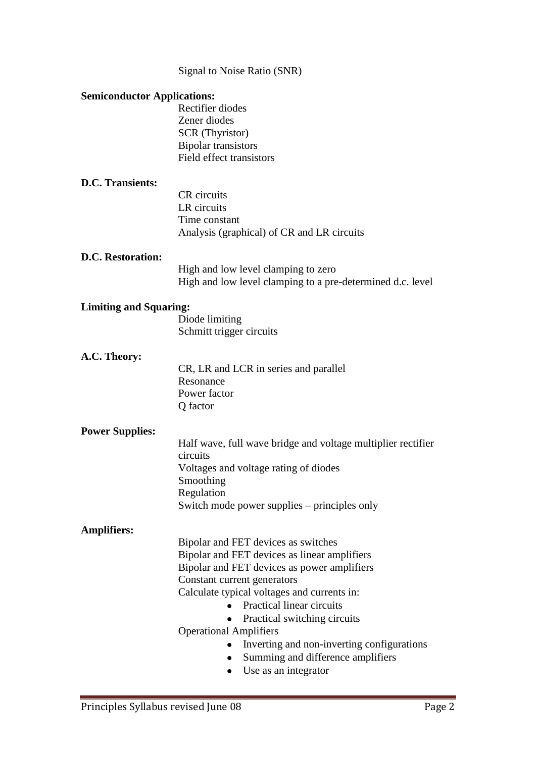| Signal to Noise Ratio (SNR) |  |  |
|-----------------------------|--|--|

| <b>Semiconductor Applications:</b> |                                                              |  |
|------------------------------------|--------------------------------------------------------------|--|
|                                    | Rectifier diodes                                             |  |
|                                    | Zener diodes                                                 |  |
|                                    | <b>SCR</b> (Thyristor)                                       |  |
|                                    | <b>Bipolar transistors</b>                                   |  |
|                                    | Field effect transistors                                     |  |
| <b>D.C. Transients:</b>            |                                                              |  |
|                                    | <b>CR</b> circuits                                           |  |
|                                    | LR circuits                                                  |  |
|                                    | Time constant                                                |  |
|                                    | Analysis (graphical) of CR and LR circuits                   |  |
| <b>D.C. Restoration:</b>           |                                                              |  |
|                                    | High and low level clamping to zero                          |  |
|                                    | High and low level clamping to a pre-determined d.c. level   |  |
| <b>Limiting and Squaring:</b>      |                                                              |  |
|                                    | Diode limiting                                               |  |
|                                    | Schmitt trigger circuits                                     |  |
|                                    |                                                              |  |
| A.C. Theory:                       |                                                              |  |
|                                    | CR, LR and LCR in series and parallel                        |  |
|                                    | Resonance<br>Power factor                                    |  |
|                                    | Q factor                                                     |  |
|                                    |                                                              |  |
| <b>Power Supplies:</b>             |                                                              |  |
|                                    | Half wave, full wave bridge and voltage multiplier rectifier |  |
|                                    | circuits                                                     |  |
|                                    | Voltages and voltage rating of diodes                        |  |
|                                    | Smoothing                                                    |  |
|                                    | Regulation                                                   |  |
|                                    | Switch mode power supplies – principles only                 |  |
| <b>Amplifiers:</b>                 |                                                              |  |
|                                    | Bipolar and FET devices as switches                          |  |
|                                    | Bipolar and FET devices as linear amplifiers                 |  |
|                                    | Bipolar and FET devices as power amplifiers                  |  |
|                                    | Constant current generators                                  |  |
|                                    | Calculate typical voltages and currents in:                  |  |
|                                    | <b>Practical linear circuits</b>                             |  |
|                                    | Practical switching circuits                                 |  |
|                                    | <b>Operational Amplifiers</b>                                |  |
|                                    | Inverting and non-inverting configurations                   |  |
|                                    | Summing and difference amplifiers                            |  |
|                                    | Use as an integrator                                         |  |